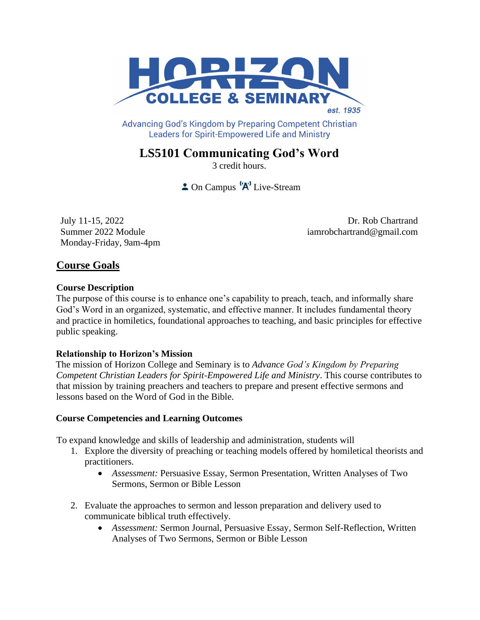

Advancing God's Kingdom by Preparing Competent Christian **Leaders for Spirit-Empowered Life and Ministry** 

# **LS5101 Communicating God's Word**

3 credit hours.

 $\triangle$  On Campus  $\forall A$ <sup>'</sup> Live-Stream

Summer 2022 Module Monday-Friday, 9am-4pm

July 11-15, 2022 Dr. Rob Chartrand iamrobchartrand@gmail.com

# **Course Goals**

## **Course Description**

The purpose of this course is to enhance one's capability to preach, teach, and informally share God's Word in an organized, systematic, and effective manner. It includes fundamental theory and practice in homiletics, foundational approaches to teaching, and basic principles for effective public speaking.

## **Relationship to Horizon's Mission**

The mission of Horizon College and Seminary is to *Advance God's Kingdom by Preparing Competent Christian Leaders for Spirit-Empowered Life and Ministry*. This course contributes to that mission by training preachers and teachers to prepare and present effective sermons and lessons based on the Word of God in the Bible.

## **Course Competencies and Learning Outcomes**

To expand knowledge and skills of leadership and administration, students will

- 1. Explore the diversity of preaching or teaching models offered by homiletical theorists and practitioners.
	- *Assessment:* Persuasive Essay, Sermon Presentation, Written Analyses of Two Sermons, Sermon or Bible Lesson
- 2. Evaluate the approaches to sermon and lesson preparation and delivery used to communicate biblical truth effectively.
	- *Assessment:* Sermon Journal, Persuasive Essay, Sermon Self-Reflection, Written Analyses of Two Sermons, Sermon or Bible Lesson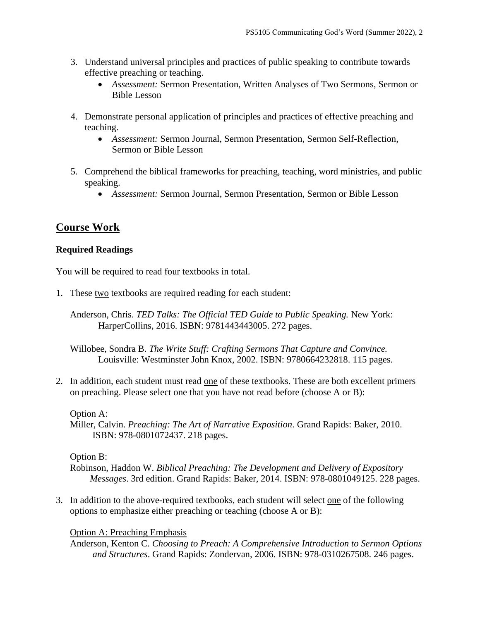- 3. Understand universal principles and practices of public speaking to contribute towards effective preaching or teaching.
	- *Assessment:* Sermon Presentation, Written Analyses of Two Sermons, Sermon or Bible Lesson
- 4. Demonstrate personal application of principles and practices of effective preaching and teaching.
	- *Assessment:* Sermon Journal, Sermon Presentation, Sermon Self-Reflection, Sermon or Bible Lesson
- 5. Comprehend the biblical frameworks for preaching, teaching, word ministries, and public speaking.
	- *Assessment:* Sermon Journal, Sermon Presentation, Sermon or Bible Lesson

# **Course Work**

# **Required Readings**

You will be required to read four textbooks in total.

1. These two textbooks are required reading for each student:

Anderson, Chris. *TED Talks: The Official TED Guide to Public Speaking.* New York: HarperCollins, 2016. ISBN: 9781443443005. 272 pages.

Willobee, Sondra B. *The Write Stuff: Crafting Sermons That Capture and Convince.* Louisville: Westminster John Knox, 2002. ISBN: 9780664232818. 115 pages.

2. In addition, each student must read one of these textbooks. These are both excellent primers on preaching. Please select one that you have not read before (choose A or B):

## Option A:

Miller, Calvin. *Preaching: The Art of Narrative Exposition*. Grand Rapids: Baker, 2010. ISBN: 978-0801072437. 218 pages.

## Option B:

Robinson, Haddon W. *Biblical Preaching: The Development and Delivery of Expository Messages*. 3rd edition. Grand Rapids: Baker, 2014. ISBN: 978-0801049125. 228 pages.

3. In addition to the above-required textbooks, each student will select one of the following options to emphasize either preaching or teaching (choose A or B):

Option A: Preaching Emphasis

Anderson, Kenton C. *Choosing to Preach: A Comprehensive Introduction to Sermon Options and Structures*. Grand Rapids: Zondervan, 2006. ISBN: 978-0310267508. 246 pages.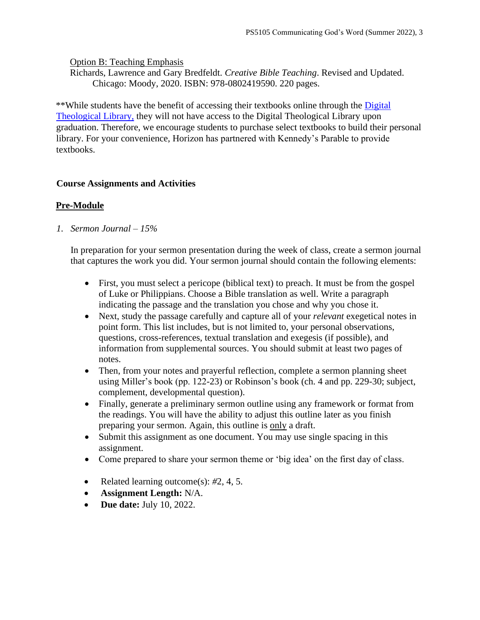Option B: Teaching Emphasis

Richards, Lawrence and Gary Bredfeldt. *Creative Bible Teaching*. Revised and Updated. Chicago: Moody, 2020. ISBN: 978-0802419590. 220 pages.

\*\*While students have the benefit of accessing their textbooks online through the [Digital](https://saskatoon.mlasolutions.com/m5/catalog/(S(3h21syce2tpjqj0wea2rbnzr))/Default.aspx?installation=HRZN)  [Theological Library,](https://saskatoon.mlasolutions.com/m5/catalog/(S(3h21syce2tpjqj0wea2rbnzr))/Default.aspx?installation=HRZN) they will not have access to the Digital Theological Library upon graduation. Therefore, we encourage students to purchase select textbooks to build their personal library. For your convenience, Horizon has partnered with Kennedy's Parable to provide textbooks.

## **Course Assignments and Activities**

## **Pre-Module**

*1. Sermon Journal – 15%*

In preparation for your sermon presentation during the week of class, create a sermon journal that captures the work you did. Your sermon journal should contain the following elements:

- First, you must select a pericope (biblical text) to preach. It must be from the gospel of Luke or Philippians. Choose a Bible translation as well. Write a paragraph indicating the passage and the translation you chose and why you chose it.
- Next, study the passage carefully and capture all of your *relevant* exegetical notes in point form. This list includes, but is not limited to, your personal observations, questions, cross-references, textual translation and exegesis (if possible), and information from supplemental sources. You should submit at least two pages of notes.
- Then, from your notes and prayerful reflection, complete a sermon planning sheet using Miller's book (pp. 122-23) or Robinson's book (ch. 4 and pp. 229-30; subject, complement, developmental question).
- Finally, generate a preliminary sermon outline using any framework or format from the readings. You will have the ability to adjust this outline later as you finish preparing your sermon. Again, this outline is only a draft.
- Submit this assignment as one document. You may use single spacing in this assignment.
- Come prepared to share your sermon theme or 'big idea' on the first day of class.
- Related learning outcome(s): *#*2, 4, 5.
- **Assignment Length:** N/A.
- **Due date:** July 10, 2022.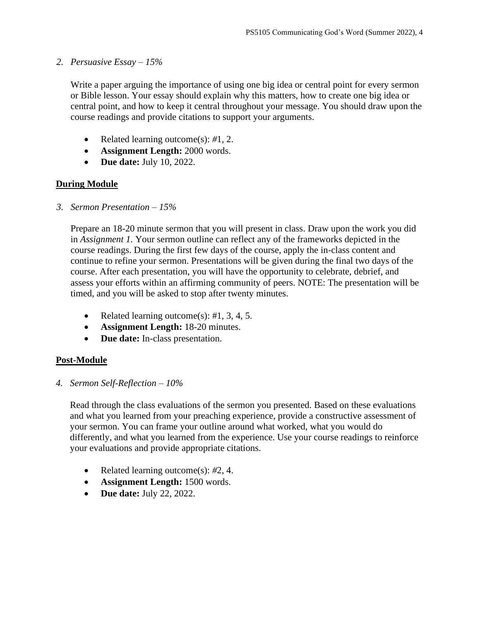#### *2. Persuasive Essay – 15%*

Write a paper arguing the importance of using one big idea or central point for every sermon or Bible lesson. Your essay should explain why this matters, how to create one big idea or central point, and how to keep it central throughout your message. You should draw upon the course readings and provide citations to support your arguments.

- Related learning outcome(s): *#*1, 2.
- **Assignment Length:** 2000 words.
- **Due date:** July 10, 2022.

# **During Module**

*3. Sermon Presentation – 15%*

Prepare an 18-20 minute sermon that you will present in class. Draw upon the work you did in *Assignment 1*. Your sermon outline can reflect any of the frameworks depicted in the course readings. During the first few days of the course, apply the in-class content and continue to refine your sermon. Presentations will be given during the final two days of the course. After each presentation, you will have the opportunity to celebrate, debrief, and assess your efforts within an affirming community of peers. NOTE: The presentation will be timed, and you will be asked to stop after twenty minutes.

- Related learning outcome(s):  $\#1, 3, 4, 5$ .
- **Assignment Length:** 18-20 minutes.
- **Due date:** In-class presentation.

## **Post-Module**

#### *4. Sermon Self-Reflection – 10%*

Read through the class evaluations of the sermon you presented. Based on these evaluations and what you learned from your preaching experience, provide a constructive assessment of your sermon. You can frame your outline around what worked, what you would do differently, and what you learned from the experience. Use your course readings to reinforce your evaluations and provide appropriate citations.

- Related learning outcome(s): *#*2, 4.
- **Assignment Length:** 1500 words.
- **Due date:** July 22, 2022.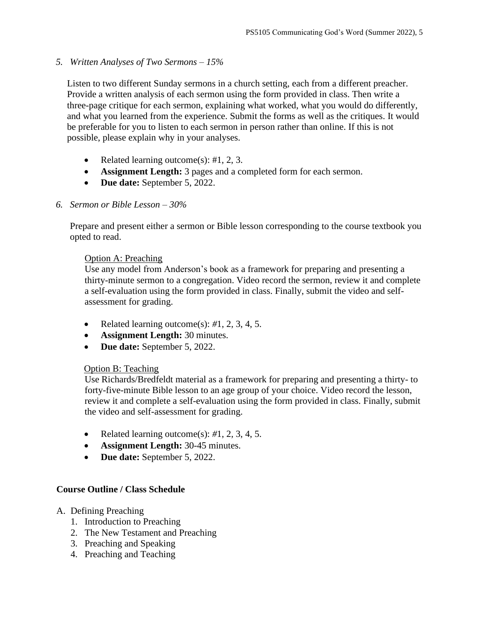#### *5. Written Analyses of Two Sermons – 15%*

Listen to two different Sunday sermons in a church setting, each from a different preacher. Provide a written analysis of each sermon using the form provided in class. Then write a three-page critique for each sermon, explaining what worked, what you would do differently, and what you learned from the experience. Submit the forms as well as the critiques. It would be preferable for you to listen to each sermon in person rather than online. If this is not possible, please explain why in your analyses.

- Related learning outcome(s): #1, 2, 3.
- **Assignment Length:** 3 pages and a completed form for each sermon.
- **Due date:** September 5, 2022.

#### *6. Sermon or Bible Lesson – 30%*

Prepare and present either a sermon or Bible lesson corresponding to the course textbook you opted to read.

#### Option A: Preaching

Use any model from Anderson's book as a framework for preparing and presenting a thirty-minute sermon to a congregation. Video record the sermon, review it and complete a self-evaluation using the form provided in class. Finally, submit the video and selfassessment for grading.

- Related learning outcome(s): *#*1, 2, 3, 4, 5.
- **Assignment Length:** 30 minutes.
- **Due date:** September 5, 2022.

## Option B: Teaching

Use Richards/Bredfeldt material as a framework for preparing and presenting a thirty- to forty-five-minute Bible lesson to an age group of your choice. Video record the lesson, review it and complete a self-evaluation using the form provided in class. Finally, submit the video and self-assessment for grading.

- Related learning outcome(s): *#*1, 2, 3, 4, 5.
- **Assignment Length:** 30-45 minutes.
- **Due date:** September 5, 2022.

## **Course Outline / Class Schedule**

## A. Defining Preaching

- 1. Introduction to Preaching
- 2. The New Testament and Preaching
- 3. Preaching and Speaking
- 4. Preaching and Teaching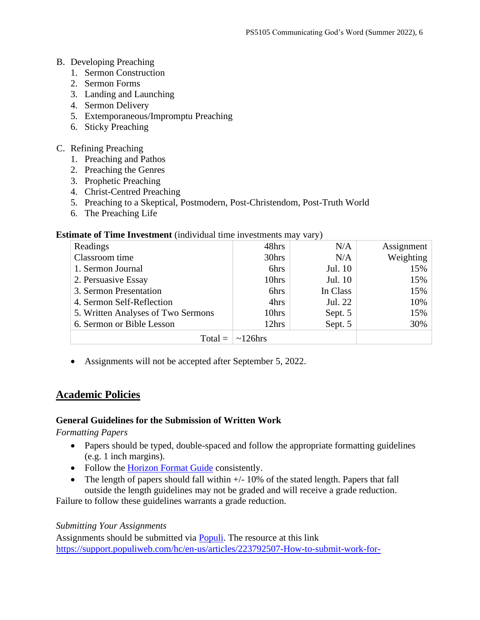#### B. Developing Preaching

- 1. Sermon Construction
- 2. Sermon Forms
- 3. Landing and Launching
- 4. Sermon Delivery
- 5. Extemporaneous/Impromptu Preaching
- 6. Sticky Preaching

#### C. Refining Preaching

- 1. Preaching and Pathos
- 2. Preaching the Genres
- 3. Prophetic Preaching
- 4. Christ-Centred Preaching
- 5. Preaching to a Skeptical, Postmodern, Post-Christendom, Post-Truth World
- 6. The Preaching Life

#### **Estimate of Time Investment** *(individual time investments may vary)*

|                                    |                  | <u>.</u> |            |
|------------------------------------|------------------|----------|------------|
| Readings                           | 48hrs            | N/A      | Assignment |
| Classroom time                     | 30hrs            | N/A      | Weighting  |
| 1. Sermon Journal                  | 6hrs             | Jul. 10  | 15%        |
| 2. Persuasive Essay                | 10hrs            | Jul. 10  | 15%        |
| 3. Sermon Presentation             | 6hrs             | In Class | 15%        |
| 4. Sermon Self-Reflection          | 4hrs             | Jul. 22  | 10%        |
| 5. Written Analyses of Two Sermons | 10hrs            | Sept. 5  | 15%        |
| 6. Sermon or Bible Lesson          | 12hrs            | Sept. 5  | 30%        |
| $Total =$                          | $\sim$ 126 $hrs$ |          |            |

• Assignments will not be accepted after September 5, 2022.

# **Academic Policies**

#### **General Guidelines for the Submission of Written Work**

#### *Formatting Papers*

- Papers should be typed, double-spaced and follow the appropriate formatting guidelines (e.g. 1 inch margins).
- Follow the [Horizon Format Guide](https://www.horizon.edu/students/resources/) consistently.
- The length of papers should fall within  $+/-10\%$  of the stated length. Papers that fall outside the length guidelines may not be graded and will receive a grade reduction.

Failure to follow these guidelines warrants a grade reduction.

#### *Submitting Your Assignments*

Assignments should be submitted via [Populi.](https://horizon.populiweb.com/) The resource at this link [https://support.populiweb.com/hc/en-us/articles/223792507-How-to-submit-work-for-](https://support.populiweb.com/hc/en-us/articles/223792507-How-to-submit-work-for-assignments)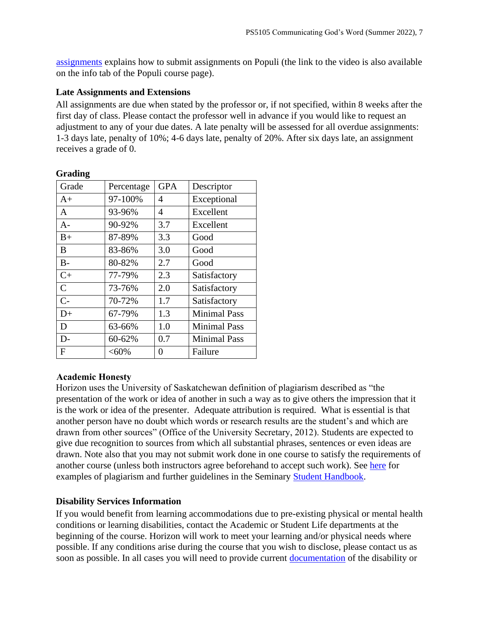[assignments](https://support.populiweb.com/hc/en-us/articles/223792507-How-to-submit-work-for-assignments) explains how to submit assignments on Populi (the link to the video is also available on the info tab of the Populi course page).

# **Late Assignments and Extensions**

All assignments are due when stated by the professor or, if not specified, within 8 weeks after the first day of class. Please contact the professor well in advance if you would like to request an adjustment to any of your due dates. A late penalty will be assessed for all overdue assignments: 1-3 days late, penalty of 10%; 4-6 days late, penalty of 20%. After six days late, an assignment receives a grade of 0.

| Grade       | Percentage | <b>GPA</b> | Descriptor          |
|-------------|------------|------------|---------------------|
| $A+$        | 97-100%    | 4          | Exceptional         |
| A           | 93-96%     | 4          | Excellent           |
| $A-$        | 90-92%     | 3.7        | Excellent           |
| $B+$        | 87-89%     | 3.3        | Good                |
| B           | 83-86%     | 3.0        | Good                |
| $B -$       | 80-82%     | 2.7        | Good                |
| $C+$        | 77-79%     | 2.3        | Satisfactory        |
| $\mathbf C$ | 73-76%     | 2.0        | Satisfactory        |
| $C-$        | 70-72%     | 1.7        | Satisfactory        |
| $D+$        | 67-79%     | 1.3        | <b>Minimal Pass</b> |
| D           | 63-66%     | 1.0        | <b>Minimal Pass</b> |
| $D-$        | 60-62%     | 0.7        | <b>Minimal Pass</b> |
| F           | $< 60\%$   | 0          | Failure             |

#### **Grading**

# **Academic Honesty**

Horizon uses the University of Saskatchewan definition of plagiarism described as "the presentation of the work or idea of another in such a way as to give others the impression that it is the work or idea of the presenter. Adequate attribution is required. What is essential is that another person have no doubt which words or research results are the student's and which are drawn from other sources" (Office of the University Secretary, 2012). Students are expected to give due recognition to sources from which all substantial phrases, sentences or even ideas are drawn. Note also that you may not submit work done in one course to satisfy the requirements of another course (unless both instructors agree beforehand to accept such work). See [here](http://www.turnitin.com/assets/en_us/media/plagiarism_spectrum.php) for examples of plagiarism and further guidelines in the Seminary [Student Handbook.](https://www.horizon.edu/students/resources/)

# **Disability Services Information**

If you would benefit from learning accommodations due to pre-existing physical or mental health conditions or learning disabilities, contact the Academic or Student Life departments at the beginning of the course. Horizon will work to meet your learning and/or physical needs where possible. If any conditions arise during the course that you wish to disclose, please contact us as soon as possible. In all cases you will need to provide current [documentation](https://www.horizon.edu/students/support/) of the disability or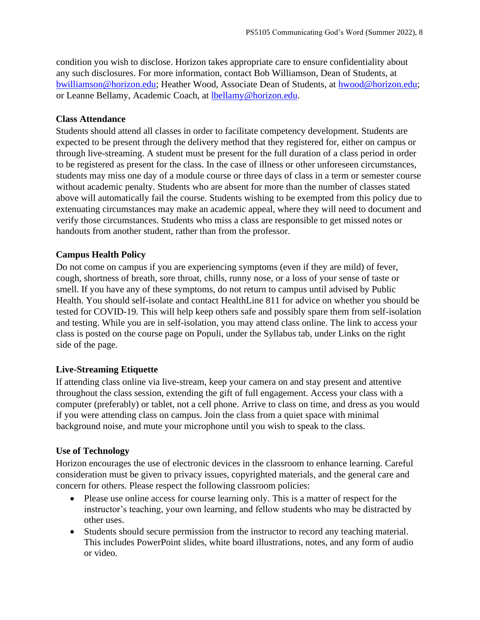condition you wish to disclose. Horizon takes appropriate care to ensure confidentiality about any such disclosures. For more information, contact Bob Williamson, Dean of Students, at [bwilliamson@horizon.edu;](mailto:bwilliamson@horizon.edu) Heather Wood, Associate Dean of Students, at [hwood@horizon.edu;](mailto:hwood@horizon.edu) or Leanne Bellamy, Academic Coach, at [lbellamy@horizon.edu.](mailto:lbellamy@horizon.edu)

#### **Class Attendance**

Students should attend all classes in order to facilitate competency development. Students are expected to be present through the delivery method that they registered for, either on campus or through live-streaming. A student must be present for the full duration of a class period in order to be registered as present for the class. In the case of illness or other unforeseen circumstances, students may miss one day of a module course or three days of class in a term or semester course without academic penalty. Students who are absent for more than the number of classes stated above will automatically fail the course. Students wishing to be exempted from this policy due to extenuating circumstances may make an academic appeal, where they will need to document and verify those circumstances. Students who miss a class are responsible to get missed notes or handouts from another student, rather than from the professor.

## **Campus Health Policy**

Do not come on campus if you are experiencing symptoms (even if they are mild) of fever, cough, shortness of breath, sore throat, chills, runny nose, or a loss of your sense of taste or smell. If you have any of these symptoms, do not return to campus until advised by Public Health. You should self-isolate and contact HealthLine 811 for advice on whether you should be tested for COVID-19. This will help keep others safe and possibly spare them from self-isolation and testing. While you are in self-isolation, you may attend class online. The link to access your class is posted on the course page on Populi, under the Syllabus tab, under Links on the right side of the page.

## **Live-Streaming Etiquette**

If attending class online via live-stream, keep your camera on and stay present and attentive throughout the class session, extending the gift of full engagement. Access your class with a computer (preferably) or tablet, not a cell phone. Arrive to class on time, and dress as you would if you were attending class on campus. Join the class from a quiet space with minimal background noise, and mute your microphone until you wish to speak to the class.

## **Use of Technology**

Horizon encourages the use of electronic devices in the classroom to enhance learning. Careful consideration must be given to privacy issues, copyrighted materials, and the general care and concern for others. Please respect the following classroom policies:

- Please use online access for course learning only. This is a matter of respect for the instructor's teaching, your own learning, and fellow students who may be distracted by other uses.
- Students should secure permission from the instructor to record any teaching material. This includes PowerPoint slides, white board illustrations, notes, and any form of audio or video.